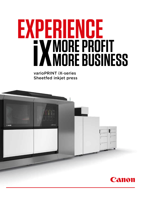### **EXPERIENCE MORE PROFIT MORE BUSINESS**

varioPRINT iX-series Sheetfed inkjet press

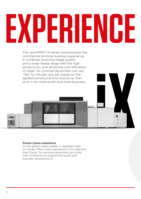# **EXPERIENCE**

The varioPRINT iX-series revolutionises the commercial printing business experience. It combines stunning image quality and a wide media range with the high productivity and attractive cost-efficiency of inkjet. So commercial printers can say "Yes" to virtually any job, based on the agreed turnaround time and price, then print it for more profit and more business.



### Proven Canon experience

As the global market leader in sheetfed inkiet. no vendor offers more experience in this segment than Canon. So commercial printers can invest with confidence to expand their profit and business! Experience iX!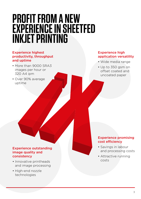### **PROFIT FROM A NEW EXPERIENCE IN SHEETFED INKJET PRINTING**

### Experience highest productivity, throughput and uptime

- More than 9000 SRA3 images per hour or 320 A4 ipm
- Over 90% average uptime

### Experience high application versatility

- Wide media range
- Up to 350 gsm on offset coated and uncoated paper

### Experience outstanding image quality and consistency

- Innovative printheads and image processing
- High-end nozzle technologies

### Experience promising cost efficiency

- Savings in labour and processing costs
- Attractive running costs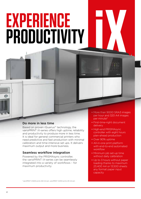## **EXPERIENCE PRODUCTIVITY**

### Do more in less time

Based on proven iQuarius<sup>ix</sup> technology, the varioPRINT iX-series offers high uptime, reliability and productivity to produce more in less time. It is ideal for general commercial printers who need predictive and fast production with minimal calibration and time-intensive set ups. It delivers maximum output and more business.

### Seamless workflow integration

Powered by the PRISMAsync controller, the varioPRINT iX-series can be seamlessly integrated into a variety of workflows – for maximum productivity.

- More than 9000 SRA3 images per hour and 320 A4 images per minute\*
- First-time-right document delivery
- High-end PRISMAsync controller with eight hours plan-ahead production
- Over 90% uptime

Canon

- All-in-one print platform with end-to-end automated workflow
- Minimum job set-up time without daily calibration
- Up to 3 hours without paper loading thanks to maximum 23,400 A4 or 13,500 sheets any format paper input capacity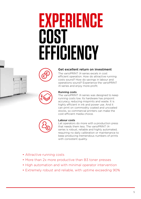### **EXPERIENCE COST EFFICIENCY**





### Get excellent return on investment

The varioPRINT iX-series excels in cost efficient operation. How do attractive running costs sound? How do savings in labour and operations sound? Experience the varioPRINT iX-series and enjoy more profit.



### Running costs

The varioPRINT iX-series was designed to keep running costs low. Its hardware has pinpoint accuracy, reducing misprints and waste. It is highly efficient in ink and power use. And it can print on commodity coated and uncoated stocks, so commercial printers can make the cost-efficient media choice.

### Labour costs

Let operators do more with a production press that needs them less. The varioPRINT iXseries is robust, reliable and highly automated, requiring no daily calibration or maintenance to keep producing tremendous numbers of prints with consistent quality.

- Attractive running costs
- More than 2x more productive than B3 toner presses
- High automation and with minimal operator intervention
- Extremely robust and reliable, with uptime exceeding 90%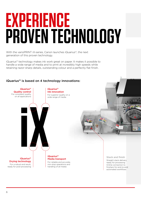## **EXPERIENCE PROVEN TECHNOLOGY**

With the varioPRINT iX-series, Canon launches iQuarius<sup>ix</sup>, the next generation of this proven technology.

iQuarius<sup>IX</sup> technology makes ink work great on paper. It makes it possible to handle a wide range of media and to print at incredibly high speeds while retaining razor-sharp details, outstanding colour and a perfectly flat finish.

### $i$ Quarius<sup>ix</sup> is based on 4 technology innovations:

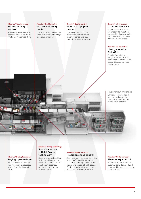### iQuarius<sup>ix</sup> Quality control Nozzle activity control

Automatically detects and corrects nozzle failure or misfiring in near real-time

### iQuarius<sup>ix</sup> Quality control Nozzle uniformity control

Controls individual nozzles to ensure consistently high, smooth print quality

### iQuarius<sup>ix</sup> Quality control

### True 1200 dpi print process

Co-developed 1200 dpi printheads optimised for use in iX-series and true 1200 dpi image processing

### iQuarius<sup>ix</sup> Ink innovation iX performance ink

Water-based inks with a proprietary formulation for excellent image quality and robustness on many different media types

### iQuarius<sup>ix</sup> Ink innovation Next generation ColorGrip

Special formulation for great adhesion and performance of the waterbased iX inks on a wide media range

Paper input modules Climate-controlled and vacuum-fed paper input modules supporting all media from all trays

### iQuarius<sup>ix</sup> Drying technology Drying system drum

First drying step. Hot air impingement evaporates water from the ink on the print

### iQuarius<sup>ix</sup> Drving technology Post-fixation unit with InkFusion technology

Second drying step. Heat with humidification for robust ink layer so prints can be cut, stitched, perforated and folded without issue

### iQuariusiX Media transport Precision sheet control

Seamless stainless steel belt with small perforated holes and air suction accurately positions and transports sheets at high speed. Enables combination of papers and outstanding registration

### iQuarius<sup>ix</sup> Media transport Sheet entry control

Sheets with deformations automatically detected and discarded before entering the print process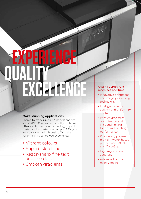### **EXPERIENCE QUALITY EXCELLENC**

### Make stunning applications

Thanks to many iQuarius<sup> $i<sup>x</sup>$  innovations, the</sup> varioPRINT iX-series print quality rivals any other established print technology. It prints coated and uncoated media up to 350 gsm, with consistently high quality. With the varioPRINT iX-series, you experience:

- Vibrant colours
- Superb skin tones
- Razor-sharp fine text and line detail
- Smooth gradients

### Quality across runs, machines and time

- Innovative printheads and image processing technology
- Intelligent nozzle activity and uniformity control
- Print environment optimisation and ink conditioning for optimal printing performance
- Proprietary polymer pigment water-based performance iX ink and ColorGrip
- High registration accuracy
- Advanced colour management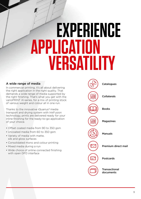### **APPLICATIO VERSATILITY EXPERIENCE**

### A wide range of media

In commercial printing, it's all about delivering the right application in the right quality. That demands a wide range of media supported by the right finishing. That's what you get with the varioPRINT iX-series, for a mix of printing stock of various weight and colour all in one run.

Thanks to the innovative iQuarius<sup>ix</sup> media transport and drying system with InkFusion technology, prints are delivered ready for your inline finishing for the ready-to-go application of your choice.

- Offset coated media from 90 to 350 gsm
- Uncoated media from 60 to 350 gsm
- Variety of media with matte, silk and gloss surfaces
- Consolidated mono and colour printing
- Mixed media during a run
- Wide choice of online connected finishing with open DFD interface

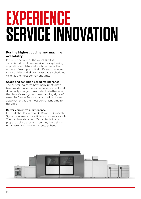## **EXPERIENCE SERVICE INNOVATION**

### For the highest uptime and machine availability

Proactive service of the varioPRINT iXseries is a data-driven service concept, using sophisticated data analysis to increase the uptime of each press. It significantly reduces service visits and allows proactively scheduled visits at the most convenient time.

### Usage and condition based maintenance

The printer indicates how many prints have been made since the last service moment and data analysis algorithms detect whether one of the device's subsystems are showing signs of wear. So Canon Service can schedule the next appointment at the most convenient time for the user.

### Better corrective maintenance

If a part should ever break, Remote Diagnostic Systems increase the efficiency of service visits. The machine data help Canon technicians prepare before they visit, so they have all the right parts and cleaning agents at hand.

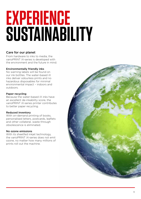### **EXPERIENCE SUSTAINABILITY**

### Care for our planet

From hardware to inks to media, the varioPRINT iX-series is developed with the environment and the future in mind.

### Environmentally friendly inks

No warning labels will be found on our ink bottles. The water-based iX inks deliver odourless prints and no hazardous disposables for minimal environmental impact – indoors and outdoors.

### Paper recycling

Because the water-based iX inks have an excellent de-inkability score, the varioPRINT iX-series printer contributes to better paper recycling.

### Reduced inventory

With on-demand printing of books, personalised letters, postcards, leaflets and other collateral, waste through obsolescence is eliminated.

### No ozone emissions

With its sheetfed inkjet technology, the varioPRINT iX-series does not emit ozone, no matter how many millions of prints roll out the machine.